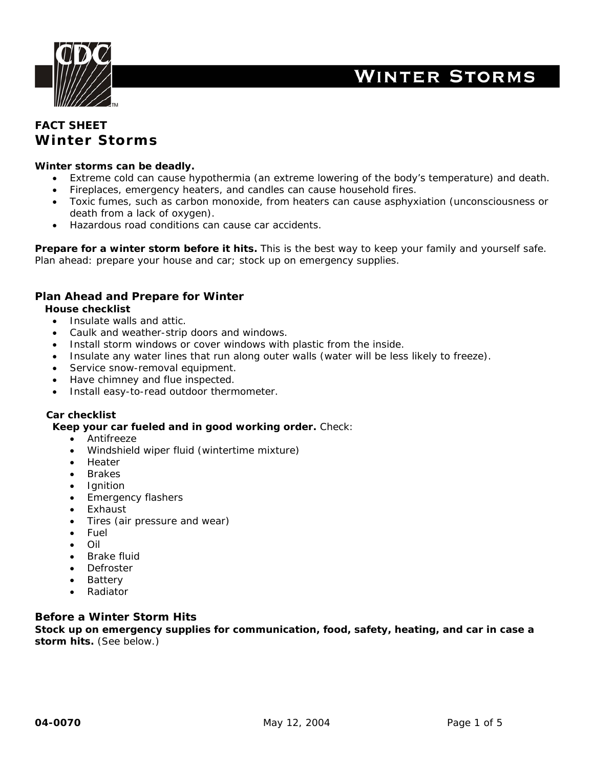

# **WINTER STORMS**

# **FACT SHEET Winter Storms**

#### **Winter storms can be deadly.**

- Extreme cold can cause hypothermia (an extreme lowering of the body's temperature) and death.
- Fireplaces, emergency heaters, and candles can cause household fires.
- Toxic fumes, such as carbon monoxide, from heaters can cause asphyxiation (unconsciousness or death from a lack of oxygen).
- Hazardous road conditions can cause car accidents.

**Prepare for a winter storm before it hits.** This is the best way to keep your family and yourself safe. Plan ahead: prepare your house and car; stock up on emergency supplies.

### **Plan Ahead and Prepare for Winter**

#### **House checklist**

- Insulate walls and attic.
- Caulk and weather-strip doors and windows.
- Install storm windows or cover windows with plastic from the inside.
- Insulate any water lines that run along outer walls (water will be less likely to freeze).
- Service snow-removal equipment.
- Have chimney and flue inspected.
- Install easy-to-read outdoor thermometer.

#### **Car checklist**

#### **Keep your car fueled and in good working order.** Check:

- Antifreeze
- Windshield wiper fluid (wintertime mixture)
- Heater
- **Brakes**
- **Ignition**
- Emergency flashers
- Exhaust
- Tires (air pressure and wear)
- Fuel
- Oil
- Brake fluid
- **Defroster**
- Battery
- Radiator

#### **Before a Winter Storm Hits**

**Stock up on emergency supplies for communication, food, safety, heating, and car in case a storm hits.** (See below.)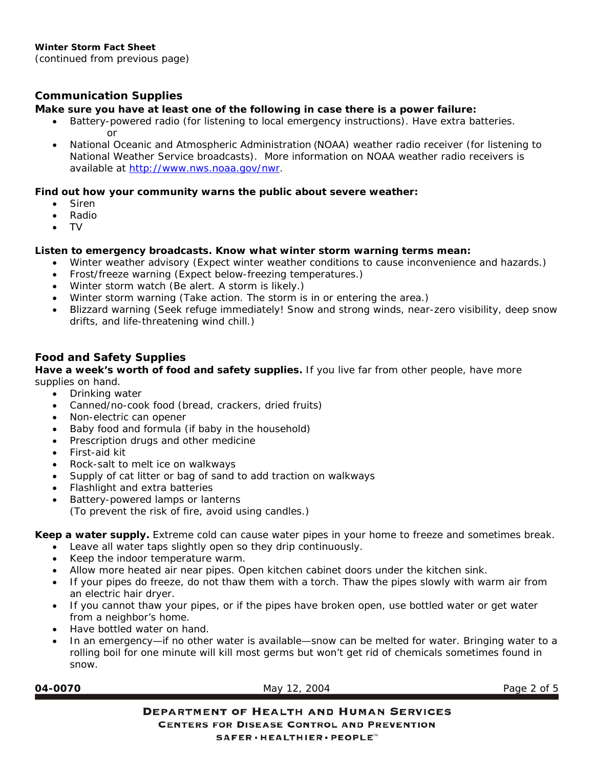# *Communication Supplies*

# **Make sure you have at least one of the following in case there is a power failure:**

- [Battery-powered radio \(for listening to local emergency instructions\). Have extra batteries.](http://www.nws.noaa.gov/nwr)  or
- National Oceanic and Atmospheric Administration (NOAA) weather radio receiver (for listening to National Weather Service broadcasts). More information on NOAA weather radio receivers is available at [http://www.nws.noaa.gov/nwr.](http://www.nws.noaa.gov/nwr)

# **Find out how your community warns the public about severe weather:**

- Siren
- Radio
- TV

# **Listen to emergency broadcasts. Know what winter storm warning terms mean:**

- Winter weather advisory (Expect winter weather conditions to cause inconvenience and hazards.)
- Frost/freeze warning (Expect below-freezing temperatures.)
- Winter storm watch (Be alert. A storm is likely.)
- Winter storm warning (Take action. The storm is in or entering the area.)
- Blizzard warning (Seek refuge immediately! Snow and strong winds, near-zero visibility, deep snow drifts, and life-threatening wind chill.)

### *Food and Safety Supplies*

**Have a week's worth of food and safety supplies.** If you live far from other people, have more supplies on hand.

- Drinking water
- Canned/no-cook food (bread, crackers, dried fruits)
- Non-electric can opener
- Baby food and formula (if baby in the household)
- Prescription drugs and other medicine
- First-aid kit
- Rock-salt to melt ice on walkways
- Supply of cat litter or bag of sand to add traction on walkways
- Flashlight and extra batteries
- Battery-powered lamps or lanterns (To prevent the risk of fire, avoid using candles.)

**Keep a water supply.** Extreme cold can cause water pipes in your home to freeze and sometimes break.

- Leave all water taps slightly open so they drip continuously.
- Keep the indoor temperature warm.
- Allow more heated air near pipes. Open kitchen cabinet doors under the kitchen sink.
- If your pipes do freeze, do not thaw them with a torch. Thaw the pipes slowly with warm air from an electric hair dryer.
- If you cannot thaw your pipes, or if the pipes have broken open, use bottled water or get water from a neighbor's home.
- Have bottled water on hand.
- In an emergency—if no other water is available—snow can be melted for water. Bringing water to a rolling boil for one minute will kill most germs but won't get rid of chemicals sometimes found in snow.

**04-0070** May 12, 2004 Page 2 of 5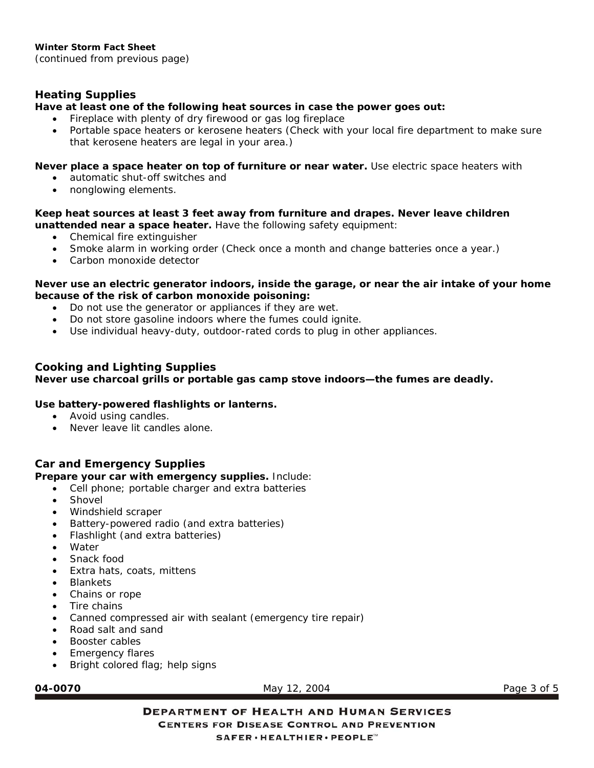*Heating Supplies* 

**Have at least one of the following heat sources in case the power goes out:** 

- Fireplace with plenty of dry firewood or gas log fireplace
- Portable space heaters or kerosene heaters (Check with your local fire department to make sure that kerosene heaters are legal in your area.)

### **Never place a space heater on top of furniture or near water.** Use electric space heaters with

- automatic shut-off switches and
- nonglowing elements.

### **Keep heat sources at least 3 feet away from furniture and drapes. Never leave children unattended near a space heater.** Have the following safety equipment:

- Chemical fire extinguisher
- Smoke alarm in working order (Check once a month and change batteries once a year.)
- Carbon monoxide detector

### **Never use an electric generator indoors, inside the garage, or near the air intake of your home because of the risk of carbon monoxide poisoning:**

- Do not use the generator or appliances if they are wet.
- Do not store gasoline indoors where the fumes could ignite.
- Use individual heavy-duty, outdoor-rated cords to plug in other appliances.

# *Cooking and Lighting Supplies*

# **Never use charcoal grills or portable gas camp stove indoors—the fumes are deadly.**

# **Use battery-powered flashlights or lanterns.**

- Avoid using candles.
- Never leave lit candles alone.

# *Car and Emergency Supplies*

### **Prepare your car with emergency supplies.** Include:

- Cell phone; portable charger and extra batteries
- **Shovel**
- Windshield scraper
- Battery-powered radio (and extra batteries)
- Flashlight (and extra batteries)
- **Water**
- Snack food
- Extra hats, coats, mittens
- **Blankets**
- Chains or rope
- Tire chains
- Canned compressed air with sealant (emergency tire repair)
- Road salt and sand
- Booster cables
- Emergency flares
- Bright colored flag; help signs

**04-0070** May 12, 2004 Page 3 of 5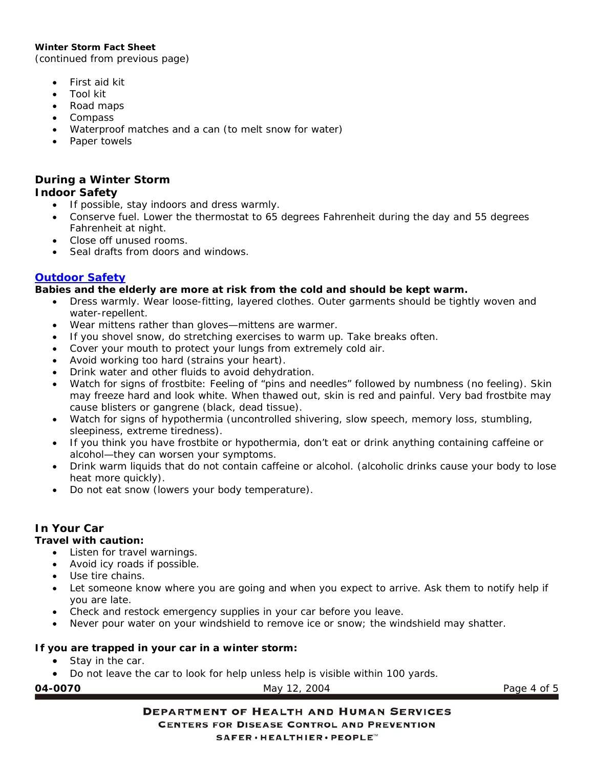#### **Winter Storm Fact Sheet**

(continued from previous page)

- First aid kit
- Tool kit
- Road maps
- Compass
- Waterproof matches and a can (to melt snow for water)
- Paper towels

# **During a Winter Storm**

### *Indoor Safety*

- If possible, stay indoors and dress warmly.
- Conserve fuel. Lower the thermostat to 65 degrees Fahrenheit during the day and 55 degrees Fahrenheit at night.
- Close off unused rooms.
- Seal drafts from doors and windows.

#### *[Outdoor Safety](http://www.bt.cdc.gov/disasters/extremecold/outdoor.asp)*

#### **Babies and the elderly are more at risk from the cold and should be kept warm.**

- Dress warmly. Wear loose-fitting, layered clothes. Outer garments should be tightly woven and water-repellent.
- Wear mittens rather than gloves—mittens are warmer.
- If you shovel snow, do stretching exercises to warm up. Take breaks often.
- Cover your mouth to protect your lungs from extremely cold air.
- Avoid working too hard (strains your heart).
- Drink water and other fluids to avoid dehydration.
- Watch for signs of frostbite: Feeling of "pins and needles" followed by numbness (no feeling). Skin may freeze hard and look white. When thawed out, skin is red and painful. Very bad frostbite may cause blisters or gangrene (black, dead tissue).
- Watch for signs of hypothermia (uncontrolled shivering, slow speech, memory loss, stumbling, sleepiness, extreme tiredness).
- If you think you have frostbite or hypothermia, don't eat or drink anything containing caffeine or alcohol—they can worsen your symptoms.
- Drink warm liquids that do not contain caffeine or alcohol. (alcoholic drinks cause your body to lose heat more quickly).
- Do not eat snow (lowers your body temperature).

### *In Your Car*

#### **Travel with caution:**

- Listen for travel warnings.
- Avoid icy roads if possible.
- Use tire chains.
- Let someone know where you are going and when you expect to arrive. Ask them to notify help if you are late.
- Check and restock emergency supplies in your car before you leave.
- Never pour water on your windshield to remove ice or snow; the windshield may shatter.

### **If you are trapped in your car in a winter storm:**

- Stay in the car.
- Do not leave the car to look for help unless help is visible within 100 yards.

| 007)<br>Μ |  |
|-----------|--|
|-----------|--|

May 12, 2004 **Page 4 of 5**